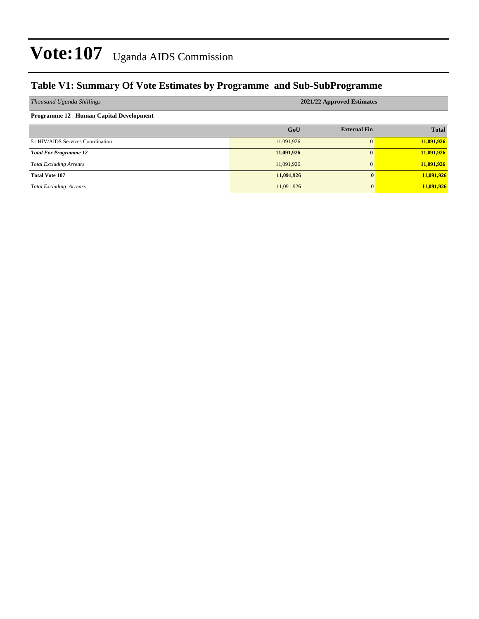### **Table V1: Summary Of Vote Estimates by Programme and Sub-SubProgramme**

| Thousand Uganda Shillings                     | 2021/22 Approved Estimates |                     |              |  |  |  |  |
|-----------------------------------------------|----------------------------|---------------------|--------------|--|--|--|--|
| <b>Programme 12 Human Capital Development</b> |                            |                     |              |  |  |  |  |
|                                               | GoU                        | <b>External Fin</b> | <b>Total</b> |  |  |  |  |
| 51 HIV/AIDS Services Coordination             | 11,091,926                 | $\Omega$            | 11,091,926   |  |  |  |  |
| <b>Total For Programme 12</b>                 | 11,091,926                 | $\mathbf{0}$        | 11,091,926   |  |  |  |  |
| <b>Total Excluding Arrears</b>                | 11,091,926                 | $\mathbf{0}$        | 11,091,926   |  |  |  |  |
| <b>Total Vote 107</b>                         | 11,091,926                 | 0                   | 11,091,926   |  |  |  |  |
| <b>Total Excluding Arrears</b>                | 11,091,926                 | $\Omega$            | 11,091,926   |  |  |  |  |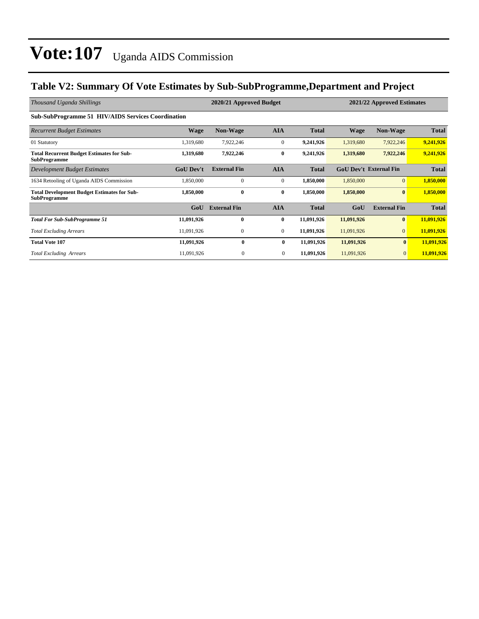### **Table V2: Summary Of Vote Estimates by Sub-SubProgramme,Department and Project**

| Thousand Uganda Shillings                                                 | 2020/21 Approved Budget<br>2021/22 Approved Estimates |                     |                |              |             |                               |              |
|---------------------------------------------------------------------------|-------------------------------------------------------|---------------------|----------------|--------------|-------------|-------------------------------|--------------|
| <b>Sub-SubProgramme 51 HIV/AIDS Services Coordination</b>                 |                                                       |                     |                |              |             |                               |              |
| <b>Recurrent Budget Estimates</b>                                         | <b>Wage</b>                                           | <b>Non-Wage</b>     | <b>AIA</b>     | <b>Total</b> | <b>Wage</b> | <b>Non-Wage</b>               | Total        |
| 01 Statutory                                                              | 1,319,680                                             | 7,922,246           | $\mathbf{0}$   | 9,241,926    | 1,319,680   | 7,922,246                     | 9,241,926    |
| <b>Total Recurrent Budget Estimates for Sub-</b><br><b>SubProgramme</b>   | 1,319,680                                             | 7,922,246           | $\bf{0}$       | 9,241,926    | 1,319,680   | 7,922,246                     | 9,241,926    |
| Development Budget Estimates                                              | <b>GoU</b> Dev't                                      | <b>External Fin</b> | <b>AIA</b>     | <b>Total</b> |             | <b>GoU Dev't External Fin</b> | <b>Total</b> |
| 1634 Retooling of Uganda AIDS Commission                                  | 1,850,000                                             | $\mathbf{0}$        | $\mathbf{0}$   | 1,850,000    | 1,850,000   | $\overline{0}$                | 1,850,000    |
| <b>Total Development Budget Estimates for Sub-</b><br><b>SubProgramme</b> | 1,850,000                                             | $\bf{0}$            | $\bf{0}$       | 1,850,000    | 1,850,000   | $\bf{0}$                      | 1,850,000    |
|                                                                           | GoU                                                   | <b>External Fin</b> | <b>AIA</b>     | <b>Total</b> | GoU         | <b>External Fin</b>           | <b>Total</b> |
| <b>Total For Sub-SubProgramme 51</b>                                      | 11,091,926                                            | $\mathbf{0}$        | $\bf{0}$       | 11,091,926   | 11,091,926  | $\bf{0}$                      | 11,091,926   |
| <b>Total Excluding Arrears</b>                                            | 11,091,926                                            | $\mathbf{0}$        | $\mathbf{0}$   | 11,091,926   | 11,091,926  | $\overline{0}$                | 11,091,926   |
| <b>Total Vote 107</b>                                                     | 11,091,926                                            | $\bf{0}$            | $\bf{0}$       | 11,091,926   | 11,091,926  | $\bf{0}$                      | 11,091,926   |
| <b>Total Excluding Arrears</b>                                            | 11,091,926                                            | $\boldsymbol{0}$    | $\overline{0}$ | 11,091,926   | 11,091,926  | $\overline{0}$                | 11,091,926   |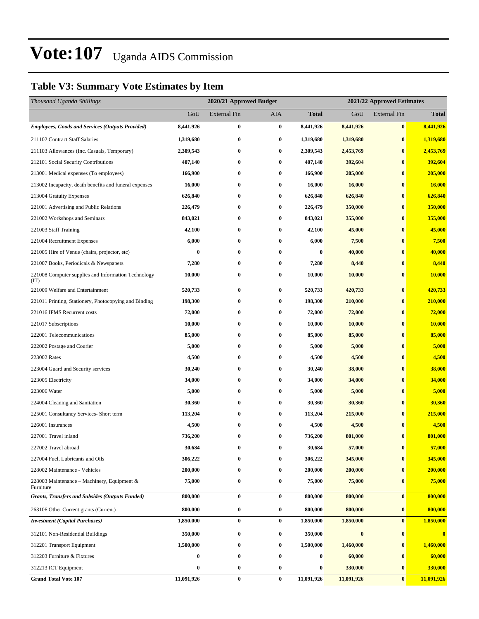### **Table V3: Summary Vote Estimates by Item**

| Thousand Uganda Shillings                                   |            | 2020/21 Approved Budget |            |              | 2021/22 Approved Estimates |                     |              |  |
|-------------------------------------------------------------|------------|-------------------------|------------|--------------|----------------------------|---------------------|--------------|--|
|                                                             | GoU        | <b>External Fin</b>     | <b>AIA</b> | <b>Total</b> | GoU                        | <b>External Fin</b> | <b>Total</b> |  |
| <b>Employees, Goods and Services (Outputs Provided)</b>     | 8,441,926  | $\bf{0}$                | $\bf{0}$   | 8,441,926    | 8,441,926                  | $\bf{0}$            | 8,441,926    |  |
| 211102 Contract Staff Salaries                              | 1,319,680  | $\bf{0}$                | $\bf{0}$   | 1,319,680    | 1,319,680                  | $\bf{0}$            | 1,319,680    |  |
| 211103 Allowances (Inc. Casuals, Temporary)                 | 2,309,543  | $\bf{0}$                | $\bf{0}$   | 2,309,543    | 2,453,769                  | $\bf{0}$            | 2,453,769    |  |
| 212101 Social Security Contributions                        | 407,140    | $\bf{0}$                | $\bf{0}$   | 407,140      | 392,604                    | $\bf{0}$            | 392,604      |  |
| 213001 Medical expenses (To employees)                      | 166,900    | $\bf{0}$                | $\bf{0}$   | 166,900      | 205,000                    | $\bf{0}$            | 205,000      |  |
| 213002 Incapacity, death benefits and funeral expenses      | 16,000     | $\bf{0}$                | $\bf{0}$   | 16,000       | 16,000                     | $\bf{0}$            | 16,000       |  |
| 213004 Gratuity Expenses                                    | 626,840    | $\bf{0}$                | $\bf{0}$   | 626,840      | 626,840                    | $\bf{0}$            | 626,840      |  |
| 221001 Advertising and Public Relations                     | 226,479    | $\bf{0}$                | $\bf{0}$   | 226,479      | 350,000                    | $\bf{0}$            | 350,000      |  |
| 221002 Workshops and Seminars                               | 843,021    | $\bf{0}$                | $\bf{0}$   | 843,021      | 355,000                    | $\bf{0}$            | 355,000      |  |
| 221003 Staff Training                                       | 42,100     | $\bf{0}$                | $\bf{0}$   | 42,100       | 45,000                     | $\bf{0}$            | 45,000       |  |
| 221004 Recruitment Expenses                                 | 6,000      | $\bf{0}$                | $\bf{0}$   | 6,000        | 7,500                      | $\bf{0}$            | 7,500        |  |
| 221005 Hire of Venue (chairs, projector, etc)               | 0          | $\bf{0}$                | $\bf{0}$   | $\bf{0}$     | 40,000                     | $\bf{0}$            | 40,000       |  |
| 221007 Books, Periodicals & Newspapers                      | 7,280      | 0                       | $\bf{0}$   | 7,280        | 8,440                      | $\bf{0}$            | 8,440        |  |
| 221008 Computer supplies and Information Technology<br>(TT) | 10,000     | $\bf{0}$                | $\bf{0}$   | 10,000       | 10,000                     | $\bf{0}$            | 10,000       |  |
| 221009 Welfare and Entertainment                            | 520,733    | $\bf{0}$                | $\bf{0}$   | 520,733      | 420,733                    | $\bf{0}$            | 420,733      |  |
| 221011 Printing, Stationery, Photocopying and Binding       | 198,300    | 0                       | $\bf{0}$   | 198,300      | 210,000                    | $\bf{0}$            | 210,000      |  |
| 221016 IFMS Recurrent costs                                 | 72,000     | $\bf{0}$                | $\bf{0}$   | 72,000       | 72,000                     | $\bf{0}$            | 72,000       |  |
| 221017 Subscriptions                                        | 10,000     | $\bf{0}$                | $\bf{0}$   | 10,000       | 10,000                     | $\bf{0}$            | 10,000       |  |
| 222001 Telecommunications                                   | 85,000     | $\bf{0}$                | $\bf{0}$   | 85,000       | 85,000                     | $\bf{0}$            | 85,000       |  |
| 222002 Postage and Courier                                  | 5,000      | $\bf{0}$                | $\bf{0}$   | 5,000        | 5,000                      | $\bf{0}$            | 5,000        |  |
| 223002 Rates                                                | 4,500      | 0                       | $\bf{0}$   | 4,500        | 4,500                      | $\bf{0}$            | 4,500        |  |
| 223004 Guard and Security services                          | 30,240     | $\bf{0}$                | $\bf{0}$   | 30,240       | 38,000                     | $\bf{0}$            | 38,000       |  |
| 223005 Electricity                                          | 34,000     | $\bf{0}$                | $\bf{0}$   | 34,000       | 34,000                     | $\bf{0}$            | 34,000       |  |
| 223006 Water                                                | 5,000      | $\bf{0}$                | $\bf{0}$   | 5,000        | 5,000                      | $\bf{0}$            | 5,000        |  |
| 224004 Cleaning and Sanitation                              | 30,360     | $\bf{0}$                | $\bf{0}$   | 30,360       | 30,360                     | $\bf{0}$            | 30,360       |  |
| 225001 Consultancy Services- Short term                     | 113,204    | 0                       | $\bf{0}$   | 113,204      | 215,000                    | $\bf{0}$            | 215,000      |  |
| 226001 Insurances                                           | 4,500      | $\bf{0}$                | $\bf{0}$   | 4,500        | 4,500                      | $\bf{0}$            | 4,500        |  |
| 227001 Travel inland                                        | 736,200    | $\bf{0}$                | $\bf{0}$   | 736,200      | 801,000                    | $\bf{0}$            | 801,000      |  |
| 227002 Travel abroad                                        | 30,684     | 0                       | $\bf{0}$   | 30,684       | 57,000                     | $\bf{0}$            | 57,000       |  |
| 227004 Fuel, Lubricants and Oils                            | 306,222    | $\bf{0}$                | $\bf{0}$   | 306,222      | 345,000                    | $\bf{0}$            | 345,000      |  |
| 228002 Maintenance - Vehicles                               | 200,000    | $\bf{0}$                | $\bf{0}$   | 200,000      | 200,000                    | $\bf{0}$            | 200,000      |  |
| 228003 Maintenance - Machinery, Equipment &<br>Furniture    | 75,000     | $\bf{0}$                | $\bf{0}$   | 75,000       | 75,000                     | $\bf{0}$            | 75,000       |  |
| <b>Grants, Transfers and Subsides (Outputs Funded)</b>      | 800,000    | $\bf{0}$                | $\bf{0}$   | 800,000      | 800,000                    | $\bf{0}$            | 800,000      |  |
| 263106 Other Current grants (Current)                       | 800,000    | $\boldsymbol{0}$        | $\bf{0}$   | 800,000      | 800,000                    | $\bf{0}$            | 800,000      |  |
| <b>Investment</b> (Capital Purchases)                       | 1,850,000  | $\bf{0}$                | $\bf{0}$   | 1,850,000    | 1,850,000                  | $\bf{0}$            | 1,850,000    |  |
| 312101 Non-Residential Buildings                            | 350,000    | $\bf{0}$                | $\bf{0}$   | 350,000      | $\boldsymbol{0}$           | $\bf{0}$            | $\bf{0}$     |  |
| 312201 Transport Equipment                                  | 1,500,000  | 0                       | $\bf{0}$   | 1,500,000    | 1,460,000                  | $\bf{0}$            | 1,460,000    |  |
| 312203 Furniture & Fixtures                                 | 0          | $\bf{0}$                | $\bf{0}$   | 0            | 60,000                     | $\bf{0}$            | 60,000       |  |
| 312213 ICT Equipment                                        | 0          | $\bf{0}$                | $\bf{0}$   | 0            | 330,000                    | $\bf{0}$            | 330,000      |  |
| <b>Grand Total Vote 107</b>                                 | 11,091,926 | $\bf{0}$                | $\bf{0}$   | 11,091,926   | 11,091,926                 | $\bf{0}$            | 11,091,926   |  |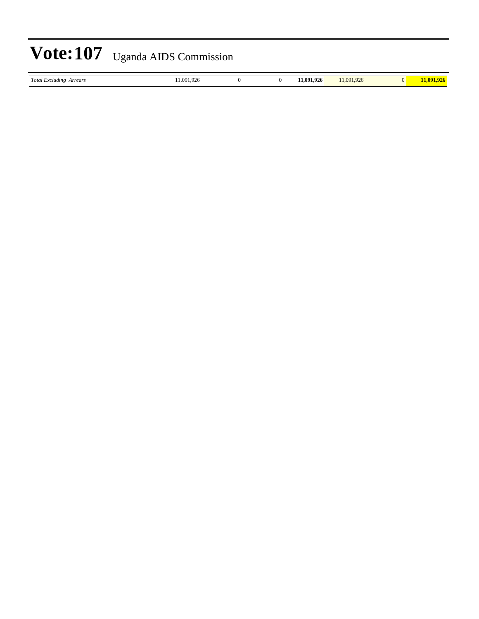*Total Excluding Arrears* 11,091,926 0 0 **11,091,926** 11,091,926 0 **11,091,926**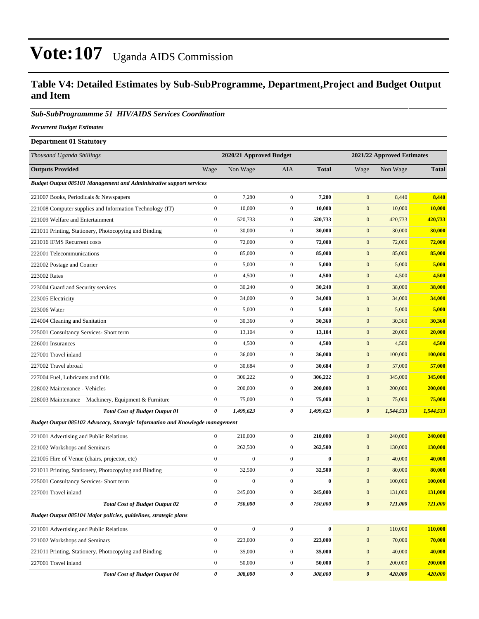#### **Table V4: Detailed Estimates by Sub-SubProgramme, Department,Project and Budget Output and Item**

#### *Sub-SubProgrammme 51 HIV/AIDS Services Coordination*

*Recurrent Budget Estimates*

| <b>Department 01 Statutory</b>                                                |                       |                         |                  |              |                            |           |              |  |
|-------------------------------------------------------------------------------|-----------------------|-------------------------|------------------|--------------|----------------------------|-----------|--------------|--|
| Thousand Uganda Shillings                                                     |                       | 2020/21 Approved Budget |                  |              | 2021/22 Approved Estimates |           |              |  |
| <b>Outputs Provided</b>                                                       | Wage                  | Non Wage                | <b>AIA</b>       | <b>Total</b> | Wage                       | Non Wage  | <b>Total</b> |  |
| <b>Budget Output 085101 Management and Administrative support services</b>    |                       |                         |                  |              |                            |           |              |  |
| 221007 Books, Periodicals & Newspapers                                        | $\mathbf{0}$          | 7,280                   | $\boldsymbol{0}$ | 7,280        | $\mathbf{0}$               | 8,440     | 8,440        |  |
| 221008 Computer supplies and Information Technology (IT)                      | $\boldsymbol{0}$      | 10,000                  | $\boldsymbol{0}$ | 10,000       | $\mathbf{0}$               | 10,000    | 10,000       |  |
| 221009 Welfare and Entertainment                                              | $\boldsymbol{0}$      | 520,733                 | $\mathbf{0}$     | 520,733      | $\mathbf{0}$               | 420,733   | 420,733      |  |
| 221011 Printing, Stationery, Photocopying and Binding                         | $\mathbf{0}$          | 30,000                  | $\boldsymbol{0}$ | 30,000       | $\boldsymbol{0}$           | 30,000    | 30,000       |  |
| 221016 IFMS Recurrent costs                                                   | $\mathbf{0}$          | 72,000                  | $\boldsymbol{0}$ | 72,000       | $\boldsymbol{0}$           | 72,000    | 72,000       |  |
| 222001 Telecommunications                                                     | $\boldsymbol{0}$      | 85,000                  | $\boldsymbol{0}$ | 85,000       | $\mathbf{0}$               | 85,000    | 85,000       |  |
| 222002 Postage and Courier                                                    | $\boldsymbol{0}$      | 5,000                   | $\boldsymbol{0}$ | 5,000        | $\boldsymbol{0}$           | 5,000     | 5,000        |  |
| 223002 Rates                                                                  | $\boldsymbol{0}$      | 4,500                   | $\mathbf{0}$     | 4,500        | $\mathbf{0}$               | 4,500     | 4,500        |  |
| 223004 Guard and Security services                                            | $\boldsymbol{0}$      | 30,240                  | $\boldsymbol{0}$ | 30,240       | $\boldsymbol{0}$           | 38,000    | 38,000       |  |
| 223005 Electricity                                                            | $\mathbf{0}$          | 34,000                  | $\boldsymbol{0}$ | 34,000       | $\boldsymbol{0}$           | 34,000    | 34,000       |  |
| 223006 Water                                                                  | $\boldsymbol{0}$      | 5,000                   | $\boldsymbol{0}$ | 5,000        | $\mathbf{0}$               | 5,000     | 5,000        |  |
| 224004 Cleaning and Sanitation                                                | $\boldsymbol{0}$      | 30,360                  | $\boldsymbol{0}$ | 30,360       | $\boldsymbol{0}$           | 30,360    | 30,360       |  |
| 225001 Consultancy Services- Short term                                       | $\boldsymbol{0}$      | 13,104                  | $\mathbf{0}$     | 13,104       | $\mathbf{0}$               | 20,000    | 20,000       |  |
| 226001 Insurances                                                             | $\mathbf{0}$          | 4,500                   | $\boldsymbol{0}$ | 4,500        | $\boldsymbol{0}$           | 4,500     | 4,500        |  |
| 227001 Travel inland                                                          | $\mathbf{0}$          | 36,000                  | $\mathbf{0}$     | 36,000       | $\boldsymbol{0}$           | 100,000   | 100,000      |  |
| 227002 Travel abroad                                                          | $\boldsymbol{0}$      | 30,684                  | $\boldsymbol{0}$ | 30,684       | $\mathbf{0}$               | 57,000    | 57,000       |  |
| 227004 Fuel, Lubricants and Oils                                              | $\mathbf{0}$          | 306,222                 | $\mathbf{0}$     | 306,222      | $\boldsymbol{0}$           | 345,000   | 345,000      |  |
| 228002 Maintenance - Vehicles                                                 | $\boldsymbol{0}$      | 200,000                 | $\mathbf{0}$     | 200,000      | $\boldsymbol{0}$           | 200,000   | 200,000      |  |
| 228003 Maintenance – Machinery, Equipment & Furniture                         | $\boldsymbol{0}$      | 75,000                  | $\boldsymbol{0}$ | 75,000       | $\mathbf{0}$               | 75,000    | 75,000       |  |
| <b>Total Cost of Budget Output 01</b>                                         | 0                     | 1,499,623               | 0                | 1,499,623    | $\boldsymbol{\theta}$      | 1,544,533 | 1,544,533    |  |
| Budget Output 085102 Advocacy, Strategic Information and Knowlegde management |                       |                         |                  |              |                            |           |              |  |
| 221001 Advertising and Public Relations                                       | $\mathbf{0}$          | 210,000                 | $\boldsymbol{0}$ | 210,000      | $\mathbf{0}$               | 240,000   | 240,000      |  |
| 221002 Workshops and Seminars                                                 | $\mathbf{0}$          | 262,500                 | $\boldsymbol{0}$ | 262,500      | $\boldsymbol{0}$           | 130,000   | 130,000      |  |
| 221005 Hire of Venue (chairs, projector, etc)                                 | $\mathbf{0}$          | $\mathbf{0}$            | $\boldsymbol{0}$ | $\bf{0}$     | $\boldsymbol{0}$           | 40,000    | 40,000       |  |
| 221011 Printing, Stationery, Photocopying and Binding                         | $\mathbf{0}$          | 32,500                  | $\boldsymbol{0}$ | 32,500       | $\mathbf{0}$               | 80,000    | 80,000       |  |
| 225001 Consultancy Services- Short term                                       | $\boldsymbol{0}$      | $\mathbf{0}$            | $\mathbf{0}$     | $\bf{0}$     | $\mathbf{0}$               | 100,000   | 100,000      |  |
| 227001 Travel inland                                                          | $\boldsymbol{0}$      | 245,000                 | $\boldsymbol{0}$ | 245,000      | $\boldsymbol{0}$           | 131,000   | 131,000      |  |
| <b>Total Cost of Budget Output 02</b>                                         | $\boldsymbol{\theta}$ | 750,000                 | $\pmb{\theta}$   | 750,000      | $\boldsymbol{\theta}$      | 721,000   | 721,000      |  |
| Budget Output 085104 Major policies, guidelines, strategic plans              |                       |                         |                  |              |                            |           |              |  |
| 221001 Advertising and Public Relations                                       | $\boldsymbol{0}$      | $\boldsymbol{0}$        | $\boldsymbol{0}$ | $\bf{0}$     | $\boldsymbol{0}$           | 110,000   | 110,000      |  |
| 221002 Workshops and Seminars                                                 | $\boldsymbol{0}$      | 223,000                 | $\boldsymbol{0}$ | 223,000      | $\boldsymbol{0}$           | 70,000    | 70,000       |  |
| 221011 Printing, Stationery, Photocopying and Binding                         | $\boldsymbol{0}$      | 35,000                  | $\boldsymbol{0}$ | 35,000       | $\mathbf{0}$               | 40,000    | 40,000       |  |

227001 Travel inland 0 50,000 0 **50,000** 0 200,000 **200,000**

*Total Cost of Budget Output 04 0 308,000 0 308,000 0 420,000 420,000*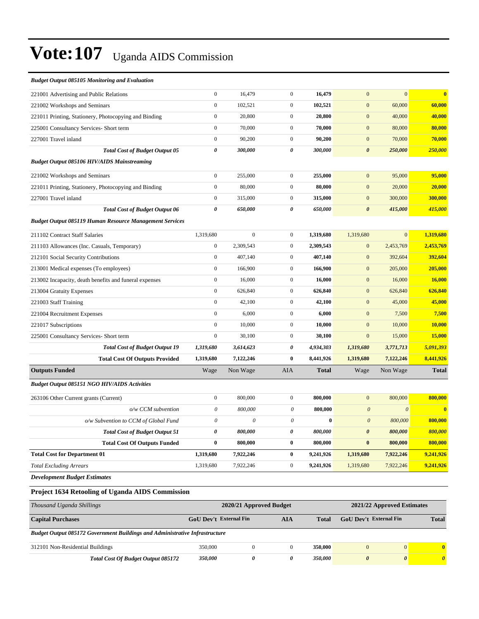| <b>Budget Output 085105 Monitoring and Evaluation</b>          |                       |                           |                           |              |                       |                       |              |
|----------------------------------------------------------------|-----------------------|---------------------------|---------------------------|--------------|-----------------------|-----------------------|--------------|
| 221001 Advertising and Public Relations                        | $\boldsymbol{0}$      | 16,479                    | $\boldsymbol{0}$          | 16,479       | $\mathbf{0}$          | $\mathbf{0}$          | $\bf{0}$     |
| 221002 Workshops and Seminars                                  | $\boldsymbol{0}$      | 102,521                   | $\boldsymbol{0}$          | 102,521      | $\boldsymbol{0}$      | 60,000                | 60,000       |
| 221011 Printing, Stationery, Photocopying and Binding          | $\boldsymbol{0}$      | 20,800                    | $\boldsymbol{0}$          | 20,800       | $\boldsymbol{0}$      | 40,000                | 40,000       |
| 225001 Consultancy Services- Short term                        | $\boldsymbol{0}$      | 70,000                    | $\boldsymbol{0}$          | 70,000       | $\mathbf{0}$          | 80,000                | 80,000       |
| 227001 Travel inland                                           | $\boldsymbol{0}$      | 90,200                    | $\overline{0}$            | 90,200       | $\mathbf{0}$          | 70,000                | 70,000       |
| <b>Total Cost of Budget Output 05</b>                          | $\pmb{\theta}$        | 300,000                   | 0                         | 300,000      | $\boldsymbol{\theta}$ | 250,000               | 250,000      |
| <b>Budget Output 085106 HIV/AIDS Mainstreaming</b>             |                       |                           |                           |              |                       |                       |              |
| 221002 Workshops and Seminars                                  | $\boldsymbol{0}$      | 255,000                   | $\overline{0}$            | 255,000      | $\overline{0}$        | 95,000                | 95,000       |
| 221011 Printing, Stationery, Photocopying and Binding          | $\boldsymbol{0}$      | 80,000                    | $\boldsymbol{0}$          | 80,000       | $\mathbf{0}$          | 20,000                | 20,000       |
| 227001 Travel inland                                           | $\boldsymbol{0}$      | 315,000                   | $\boldsymbol{0}$          | 315,000      | $\mathbf{0}$          | 300,000               | 300,000      |
| <b>Total Cost of Budget Output 06</b>                          | $\pmb{\theta}$        | 650,000                   | 0                         | 650,000      | $\boldsymbol{\theta}$ | 415,000               | 415,000      |
| <b>Budget Output 085119 Human Resource Management Services</b> |                       |                           |                           |              |                       |                       |              |
| 211102 Contract Staff Salaries                                 | 1,319,680             | $\boldsymbol{0}$          | $\boldsymbol{0}$          | 1,319,680    | 1,319,680             | $\mathbf{0}$          | 1,319,680    |
| 211103 Allowances (Inc. Casuals, Temporary)                    | $\boldsymbol{0}$      | 2,309,543                 | $\overline{0}$            | 2,309,543    | $\boldsymbol{0}$      | 2,453,769             | 2,453,769    |
| 212101 Social Security Contributions                           | $\boldsymbol{0}$      | 407,140                   | $\boldsymbol{0}$          | 407,140      | $\mathbf{0}$          | 392,604               | 392,604      |
| 213001 Medical expenses (To employees)                         | $\boldsymbol{0}$      | 166,900                   | $\overline{0}$            | 166,900      | $\mathbf{0}$          | 205,000               | 205,000      |
| 213002 Incapacity, death benefits and funeral expenses         | $\boldsymbol{0}$      | 16,000                    | $\overline{0}$            | 16,000       | $\mathbf{0}$          | 16,000                | 16,000       |
| 213004 Gratuity Expenses                                       | $\boldsymbol{0}$      | 626,840                   | $\overline{0}$            | 626,840      | $\mathbf{0}$          | 626,840               | 626,840      |
| 221003 Staff Training                                          | $\boldsymbol{0}$      | 42,100                    | $\overline{0}$            | 42,100       | $\mathbf{0}$          | 45,000                | 45,000       |
| 221004 Recruitment Expenses                                    | $\boldsymbol{0}$      | 6,000                     | $\overline{0}$            | 6,000        | $\mathbf{0}$          | 7,500                 | 7,500        |
| 221017 Subscriptions                                           | $\boldsymbol{0}$      | 10,000                    | $\overline{0}$            | 10,000       | $\mathbf{0}$          | 10,000                | 10,000       |
| 225001 Consultancy Services- Short term                        | $\boldsymbol{0}$      | 30,100                    | $\overline{0}$            | 30,100       | $\mathbf{0}$          | 15,000                | 15,000       |
| <b>Total Cost of Budget Output 19</b>                          | 1,319,680             | 3,614,623                 | 0                         | 4,934,303    | 1,319,680             | 3,771,713             | 5,091,393    |
| <b>Total Cost Of Outputs Provided</b>                          | 1,319,680             | 7,122,246                 | 0                         | 8,441,926    | 1,319,680             | 7,122,246             | 8,441,926    |
| <b>Outputs Funded</b>                                          | Wage                  | Non Wage                  | AIA                       | <b>Total</b> | Wage                  | Non Wage              | <b>Total</b> |
| <b>Budget Output 085151 NGO HIV/AIDS Activities</b>            |                       |                           |                           |              |                       |                       |              |
| 263106 Other Current grants (Current)                          | $\boldsymbol{0}$      | 800,000                   | $\overline{0}$            | 800,000      | $\mathbf{0}$          | 800,000               | 800,000      |
| o/w CCM subvention                                             | $\boldsymbol{\theta}$ | 800,000                   | $\boldsymbol{\mathit{0}}$ | 800,000      | $\boldsymbol{\theta}$ | $\boldsymbol{\theta}$ | $\bf{0}$     |
| o/w Subvention to CCM of Global Fund                           | $\boldsymbol{\theta}$ | $\boldsymbol{\mathit{0}}$ | $\boldsymbol{\theta}$     | $\bf{0}$     | $\boldsymbol{0}$      | 800,000               | 800,000      |
| <b>Total Cost of Budget Output 51</b>                          | 0                     | 800,000                   | 0                         | 800,000      | $\boldsymbol{\theta}$ | 800,000               | 800,000      |
| <b>Total Cost Of Outputs Funded</b>                            | $\bf{0}$              | 800,000                   | $\bf{0}$                  | 800,000      | $\bf{0}$              | 800,000               | 800,000      |
| <b>Total Cost for Department 01</b>                            | 1,319,680             | 7,922,246                 | $\bf{0}$                  | 9,241,926    | 1,319,680             | 7,922,246             | 9,241,926    |
| <b>Total Excluding Arrears</b>                                 | 1,319,680             | 7,922,246                 | $\overline{0}$            | 9,241,926    | 1,319,680             | 7,922,246             | 9,241,926    |
| $\mathbf{r}$                                                   |                       |                           |                           |              |                       |                       |              |

*Development Budget Estimates*

#### **Project 1634 Retooling of Uganda AIDS Commission**

| Thousand Uganda Shillings                                                          | 2020/21 Approved Budget       | 2021/22 Approved Estimates |   |              |                               |              |              |
|------------------------------------------------------------------------------------|-------------------------------|----------------------------|---|--------------|-------------------------------|--------------|--------------|
| <b>Capital Purchases</b>                                                           | GoU Dev't External Fin<br>AIA |                            |   | <b>Total</b> | <b>GoU</b> Dev't External Fin | <b>Total</b> |              |
| <b>Budget Output 085172 Government Buildings and Administrative Infrastructure</b> |                               |                            |   |              |                               |              |              |
| 312101 Non-Residential Buildings                                                   | 350,000                       |                            |   | 350,000      | $\mathcal{O}$                 | $\mathbf{0}$ | $\mathbf{0}$ |
| <b>Total Cost Of Budget Output 085172</b>                                          | 350.000                       |                            | 0 | 350.000      | 0                             | 0            | 0            |